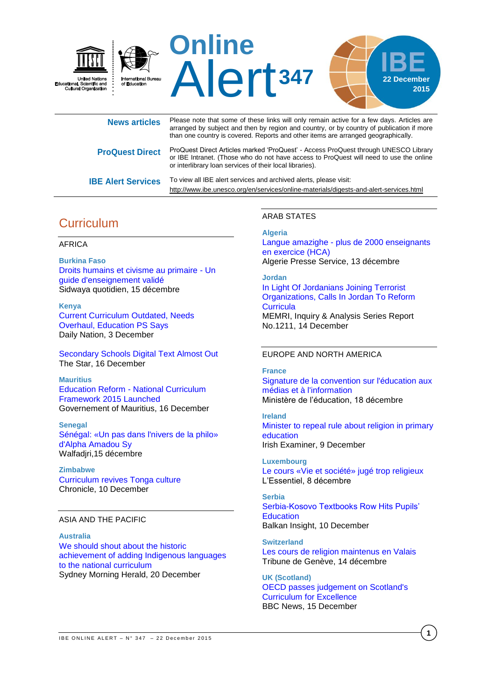

| <b>News articles</b>      | Please note that some of these links will only remain active for a few days. Articles are<br>arranged by subject and then by region and country, or by country of publication if more<br>than one country is covered. Reports and other items are arranged geographically. |
|---------------------------|----------------------------------------------------------------------------------------------------------------------------------------------------------------------------------------------------------------------------------------------------------------------------|
| <b>ProQuest Direct</b>    | ProQuest Direct Articles marked 'ProQuest' - Access ProQuest through UNESCO Library<br>or IBE Intranet. (Those who do not have access to ProQuest will need to use the online<br>or interlibrary loan services of their local libraries).                                  |
| <b>IBE Alert Services</b> | To view all IBE alert services and archived alerts, please visit:<br>http://www.ibe.unesco.org/en/services/online-materials/digests-and-alert-services.html                                                                                                                |

# **Curriculum**

### AFRICA

**Burkina Faso** [Droits humains et civisme au primaire -](http://fr.allafrica.com/stories/201512160881.html) Un [guide d'enseignement validé](http://fr.allafrica.com/stories/201512160881.html) Sidwaya quotidien, 15 décembre

**Kenya** [Current Curriculum Outdated, Needs](http://allafrica.com/stories/201512030865.html)  [Overhaul, Education PS Says](http://allafrica.com/stories/201512030865.html) Daily Nation, 3 December

[Secondary Schools Digital Text Almost Out](http://allafrica.com/stories/201512160340.html) The Star, 16 December

**Mauritius**

Education Reform - [National Curriculum](http://allafrica.com/stories/201512160486.html)  [Framework 2015 Launched](http://allafrica.com/stories/201512160486.html) Governement of Mauritius, 16 December

**Senegal** [Sénégal: «Un pas dans l'nivers de la philo»](http://fr.allafrica.com/stories/201512151617.html)  [d'Alpha Amadou Sy](http://fr.allafrica.com/stories/201512151617.html) Walfadjri,15 décembre

**Zimbabwe** [Curriculum revives Tonga culture](http://www.chronicle.co.zw/curriculum-revives-tonga-culture/) Chronicle, 10 December

### ASIA AND THE PACIFIC

**Australia** [We should shout about the historic](http://www.smh.com.au/comment/we-should-shout-about-the-historic-achievement-of-adding-indigenous-languages-to-the-national-curriculum-20151220-glrwzt.html)  [achievement of adding Indigenous languages](http://www.smh.com.au/comment/we-should-shout-about-the-historic-achievement-of-adding-indigenous-languages-to-the-national-curriculum-20151220-glrwzt.html)  [to the national curriculum](http://www.smh.com.au/comment/we-should-shout-about-the-historic-achievement-of-adding-indigenous-languages-to-the-national-curriculum-20151220-glrwzt.html) Sydney Morning Herald, 20 December

### ARAB STATES

### **Algeria**

Langue amazighe - [plus de 2000 enseignants](http://fr.allafrica.com/stories/201512141624.html)  [en exercice \(HCA\)](http://fr.allafrica.com/stories/201512141624.html) Algerie Presse Service, 13 décembre

### **Jordan**

[In Light Of Jordanians Joining Terrorist](http://www.memri.org/report/en/0/0/0/0/0/0/8897.htm)  [Organizations, Calls In Jordan To Reform](http://www.memri.org/report/en/0/0/0/0/0/0/8897.htm)  **[Curricula](http://www.memri.org/report/en/0/0/0/0/0/0/8897.htm)** MEMRI, Inquiry & Analysis Series Report No.1211, 14 December

### EUROPE AND NORTH AMERICA

#### **France**

[Signature de la convention sur l'éducation aux](http://www.education.gouv.fr/cid96876/signature-de-la-convention-sur-l-education-aux-medias-et-a-l-information-jeudi-17-decembre-2015.html)  [médias et à l'information](http://www.education.gouv.fr/cid96876/signature-de-la-convention-sur-l-education-aux-medias-et-a-l-information-jeudi-17-decembre-2015.html) Ministère de l'éducation, 18 décembre

**Ireland** [Minister to repeal rule about religion in primary](http://www.irishexaminer.com/ireland/minister-to-repeal-rule-about-religion-in-primary-education-370463.html)  [education](http://www.irishexaminer.com/ireland/minister-to-repeal-rule-about-religion-in-primary-education-370463.html) Irish Examiner, 9 December

**Luxembourg** [Le cours «Vie et société» jugé trop religieux](http://www.lessentiel.lu/fr/news/luxembourg/story/28784835) L'Essentiel, 8 décembre

**Serbia** [Serbia-Kosovo Textbooks Row Hits Pupils'](http://www.balkaninsight.com/en/article/no-end-in-sight-for-serbia-kosovo-textbooks-war--12-09-2015)  **[Education](http://www.balkaninsight.com/en/article/no-end-in-sight-for-serbia-kosovo-textbooks-war--12-09-2015)** Balkan Insight, 10 December

**Switzerland** [Les cours de religion maintenus en Valais](http://www.tdg.ch/suisse/cours-religion-maintenus-valais/story/11703383) Tribune de Genève, 14 décembre

**UK (Scotland)** [OECD passes judgement on Scotland's](http://www.bbc.com/news/uk-scotland-35101835)  [Curriculum for Excellence](http://www.bbc.com/news/uk-scotland-35101835) BBC News, 15 December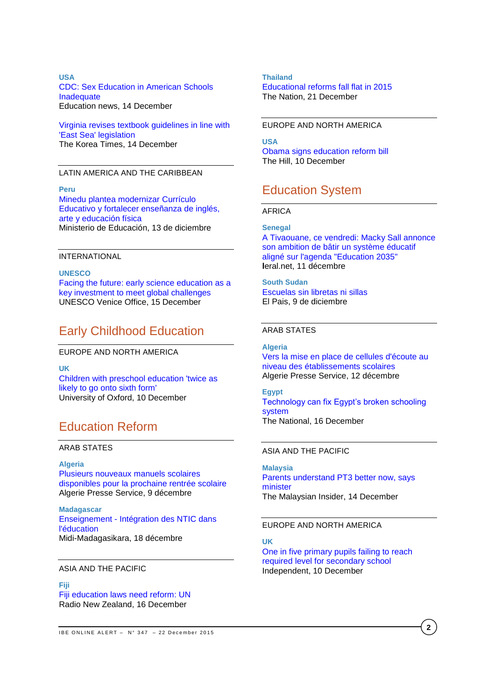## **USA** [CDC: Sex Education in American Schools](http://www.educationnews.org/education-policy-and-politics/cdc-sex-education-in-american-schools-inadequate/)  [Inadequate](http://www.educationnews.org/education-policy-and-politics/cdc-sex-education-in-american-schools-inadequate/) Education news, 14 December

[Virginia revises textbook guidelines in line with](http://koreatimes.co.kr/www/news/nation/2015/12/113_193083.html)  ['East Sea' legislation](http://koreatimes.co.kr/www/news/nation/2015/12/113_193083.html) The Korea Times, 14 December

### LATIN AMERICA AND THE CARIBBEAN

**Peru** [Minedu plantea modernizar Currículo](http://www.minedu.gob.pe/n/noticia.php?id=36000)  [Educativo y fortalecer enseñanza de inglés,](http://www.minedu.gob.pe/n/noticia.php?id=36000)  [arte y educación física](http://www.minedu.gob.pe/n/noticia.php?id=36000) Ministerio de Educación, 13 de diciembre

#### INTERNATIONAL

**UNESCO** [Facing the future: early science education as a](http://www.unesco.org/new/en/media-services/single-view/news/facing_the_future_early_science_education_as_a_key_investment_to_meet_global_challenges/#.VngVFfnhCUl)  [key investment to meet global challenges](http://www.unesco.org/new/en/media-services/single-view/news/facing_the_future_early_science_education_as_a_key_investment_to_meet_global_challenges/#.VngVFfnhCUl) UNESCO Venice Office, 15 December

# Early Childhood Education

EUROPE AND NORTH AMERICA

**UK** [Children with preschool education 'twice as](http://www.ox.ac.uk/news/2015-12-11-children-preschool-education-twice-likely-go-sixth-form)  [likely to go onto sixth form'](http://www.ox.ac.uk/news/2015-12-11-children-preschool-education-twice-likely-go-sixth-form) University of Oxford, 10 December

# Education Reform

## ARAB STATES

**Algeria** [Plusieurs nouveaux manuels scolaires](http://fr.allafrica.com/stories/201512091767.html)  [disponibles pour la prochaine rentrée scolaire](http://fr.allafrica.com/stories/201512091767.html) Algerie Presse Service, 9 décembre

**Madagascar** Enseignement - [Intégration des NTIC dans](http://fr.allafrica.com/stories/201512180657.html)  [l'éducation](http://fr.allafrica.com/stories/201512180657.html) Midi-Madagasikara, 18 décembre

#### ASIA AND THE PACIFIC

### **Fiji** [Fiji education laws need reform: UN](http://www.radionz.co.nz/international/pacific-news/292274/fiji-education-laws-need-reform-un) Radio New Zealand, 16 December

### **Thailand** [Educational reforms fall flat in 2015](http://www.nationmultimedia.com/national/Educational-reforms-fall-flat-in-2015-30275336.html) The Nation, 21 December

### EUROPE AND NORTH AMERICA

**USA** [Obama signs education reform bill](http://thehill.com/homenews/administration/262781-obama-signs-education-reform-bill) The Hill, 10 December

# Education System

## AFRICA

**Senegal**

[A Tivaouane, ce vendredi: Macky Sall annonce](http://www.leral.net/A-Tivaouane-ce-vendredi-Macky-Sall-annonce-son-ambition-de-batir-un-systeme-educatif-aligne-sur-l-agenda-Education-2035_a160435.html)  [son ambition de bâtir un système éducatif](http://www.leral.net/A-Tivaouane-ce-vendredi-Macky-Sall-annonce-son-ambition-de-batir-un-systeme-educatif-aligne-sur-l-agenda-Education-2035_a160435.html)  [aligné sur l'agenda "Education 2035"](http://www.leral.net/A-Tivaouane-ce-vendredi-Macky-Sall-annonce-son-ambition-de-batir-un-systeme-educatif-aligne-sur-l-agenda-Education-2035_a160435.html) **l**eral.net, 11 décembre

**South Sudan** [Escuelas sin libretas ni sillas](http://elpais.com/elpais/2015/11/16/planeta_futuro/1447690150_154775.html) El Pais, 9 de diciembre

### ARAB STATES

**Algeria** [Vers la mise en place de cellules d'écoute au](http://www.aps.dz/societe/33108-vers-la-mise-en-place-de-cellules-d-%C3%A9coute-au-niveau-des-%C3%A9tablissements-scolaires)  [niveau des établissements scolaires](http://www.aps.dz/societe/33108-vers-la-mise-en-place-de-cellules-d-%C3%A9coute-au-niveau-des-%C3%A9tablissements-scolaires) Algerie Presse Service, 12 décembre

**Egypt** [Technology can fix Egypt's broken schooling](http://www.thenational.ae/business/economy/technology-can-fix-egypts-broken-schooling-system)  [system](http://www.thenational.ae/business/economy/technology-can-fix-egypts-broken-schooling-system) The National, 16 December

### ASIA AND THE PACIFIC

**Malaysia** [Parents understand PT3 better now, says](http://www.themalaysianinsider.com/malaysia/article/parents-understand-pt3-better-now-says-minister)  [minister](http://www.themalaysianinsider.com/malaysia/article/parents-understand-pt3-better-now-says-minister) The Malaysian Insider, 14 December

### EUROPE AND NORTH AMERICA

### **UK**

[One in five primary pupils failing to reach](http://www.independent.co.uk/news/education/education-news/one-in-five-primary-pupils-failing-to-reach-required-level-for-secondary-school-a6768676.html)  [required level for secondary school](http://www.independent.co.uk/news/education/education-news/one-in-five-primary-pupils-failing-to-reach-required-level-for-secondary-school-a6768676.html) Independent, 10 December

**2**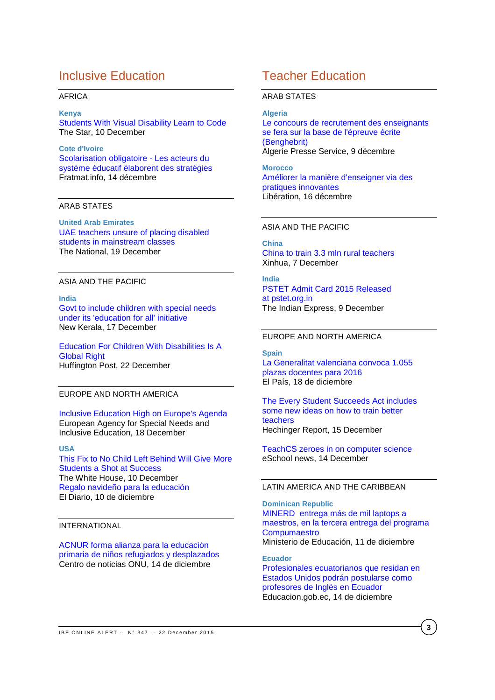# Inclusive Education

### AFRICA

**Kenya**

[Students With Visual Disability Learn to Code](http://allafrica.com/stories/201512100586.html) The Star, 10 December

**Cote d'Ivoire** [Scolarisation obligatoire -](http://fr.allafrica.com/stories/201512143040.html) Les acteurs du [système éducatif élaborent des stratégies](http://fr.allafrica.com/stories/201512143040.html) Fratmat.info, 14 décembre

## ARAB STATES

**United Arab Emirates** [UAE teachers unsure of placing disabled](http://www.thenational.ae/uae/uae-teachers-unsure-of-placing-disabled-students-in-mainstream-classes)  [students in mainstream classes](http://www.thenational.ae/uae/uae-teachers-unsure-of-placing-disabled-students-in-mainstream-classes) The National, 19 December

### ASIA AND THE PACIFIC

**India** [Govt to include children with special needs](http://www.newkerala.com/news/2015/fullnews-163505.html)  [under its 'education for all' initiative](http://www.newkerala.com/news/2015/fullnews-163505.html) New Kerala, 17 December

[Education For Children With Disabilities Is A](http://www.huffingtonpost.com/shirin-d-antia/education-for-children-wi_b_8854920.html)  [Global Right](http://www.huffingtonpost.com/shirin-d-antia/education-for-children-wi_b_8854920.html) Huffington Post, 22 December

### EUROPE AND NORTH AMERICA

[Inclusive Education High on Europe's Agenda](https://www.european-agency.org/news/inclusive-education-high-on-europes-agenda) European Agency for Special Needs and Inclusive Education, 18 December

### **USA**

[This Fix to No Child Left Behind Will Give More](https://www.whitehouse.gov/blog/2015/12/10/fix-no-child-left-behind-will-give-more-students-shot-success)  [Students a Shot at Success](https://www.whitehouse.gov/blog/2015/12/10/fix-no-child-left-behind-will-give-more-students-shot-success) The White House, 10 December [Regalo navideño para la educación](http://www.eldiariony.com/2015/12/10/regalo-navideno-para-la-educacion/) El Diario, 10 de diciembre

INTERNATIONAL

ACNUR [forma alianza para la educación](http://www.un.org/spanish/News/story.asp?NewsID=34043#.Vm_LMErhCUk)  [primaria de niños refugiados y desplazados](http://www.un.org/spanish/News/story.asp?NewsID=34043#.Vm_LMErhCUk) Centro de noticias ONU, 14 de diciembre

# Teacher Education

### ARAB STATES

#### **Algeria**

[Le concours de recrutement des enseignants](http://fr.allafrica.com/stories/201512091646.html)  [se fera sur la base de l'épreuve écrite](http://fr.allafrica.com/stories/201512091646.html)  [\(Benghebrit\)](http://fr.allafrica.com/stories/201512091646.html) Algerie Presse Service, 9 décembre

**Morocco** [Améliorer la manière d'enseigner via des](http://fr.allafrica.com/stories/201512160673.html)  [pratiques innovantes](http://fr.allafrica.com/stories/201512160673.html) Libération, 16 décembre

#### ASIA AND THE PACIFIC

**China** [China to train 3.3 mln rural teachers](http://news.xinhuanet.com/english/2015-12/07/c_134893576.htm) Xinhua, 7 December

**India** [PSTET Admit Card 2015 Released](http://indianexpress.com/article/education/pstet-admit-card-2015-released-at-pstet-org-in/)  at [pstet.org.in](http://indianexpress.com/article/education/pstet-admit-card-2015-released-at-pstet-org-in/) The Indian Express, 9 December

### EUROPE AND NORTH AMERICA

**Spain**

[La Generalitat valenciana convoca 1.055](http://ccaa.elpais.com/ccaa/2015/12/18/valencia/1450460498_030461.html)  [plazas docentes para 2016](http://ccaa.elpais.com/ccaa/2015/12/18/valencia/1450460498_030461.html) El País, 18 de diciembre

[The Every Student Succeeds Act includes](http://hechingerreport.org/the-every-student-succeeds-act-includes-some-new-ideas-on-how-train-better-teachers/)  [some new ideas on how to train better](http://hechingerreport.org/the-every-student-succeeds-act-includes-some-new-ideas-on-how-train-better-teachers/)  [teachers](http://hechingerreport.org/the-every-student-succeeds-act-includes-some-new-ideas-on-how-train-better-teachers/) Hechinger Report, 15 December

[TeachCS zeroes in on computer science](http://www.eschoolnews.com/2015/12/11/teachcs-computer-science-574/) eSchool news, 14 December

# LATIN AMERICA AND THE CARIBBEAN

**Dominican Republic** [MINERD entrega más de mil laptops a](http://www.minerd.gob.do/Lists/Noticias%20MINERD/Item/displayifs.aspx?List=a1135268-a2c8-44cb-a6b9-b28bbb0c764b&ID=1877&RootFolder=%2FLists%2FNoticias%20MINERD&Source=http%3A%2F%2Fwww%2Eminerd%2Egob%2Edo%2FPages%2Finicio%2Easpx&Web=754836dd-ffd5-4ead-8c2e-b7c9b87af8e2)  [maestros, en la tercera entrega del programa](http://www.minerd.gob.do/Lists/Noticias%20MINERD/Item/displayifs.aspx?List=a1135268-a2c8-44cb-a6b9-b28bbb0c764b&ID=1877&RootFolder=%2FLists%2FNoticias%20MINERD&Source=http%3A%2F%2Fwww%2Eminerd%2Egob%2Edo%2FPages%2Finicio%2Easpx&Web=754836dd-ffd5-4ead-8c2e-b7c9b87af8e2)  **[Compumaestro](http://www.minerd.gob.do/Lists/Noticias%20MINERD/Item/displayifs.aspx?List=a1135268-a2c8-44cb-a6b9-b28bbb0c764b&ID=1877&RootFolder=%2FLists%2FNoticias%20MINERD&Source=http%3A%2F%2Fwww%2Eminerd%2Egob%2Edo%2FPages%2Finicio%2Easpx&Web=754836dd-ffd5-4ead-8c2e-b7c9b87af8e2)** Ministerio de Educación, 11 de diciembre

**Ecuador** [Profesionales](http://educacion.gob.ec/profesionales-ecuatorianos-que-residan-en-estados-unidos-podran-postularse-como-profesores-de-ingles-en-ecuador/) ecuatorianos que residan en Estados Unidos podrán [postularse](http://educacion.gob.ec/profesionales-ecuatorianos-que-residan-en-estados-unidos-podran-postularse-como-profesores-de-ingles-en-ecuador/) como [profesores](http://educacion.gob.ec/profesionales-ecuatorianos-que-residan-en-estados-unidos-podran-postularse-como-profesores-de-ingles-en-ecuador/) de Inglés en Ecuador Educacion.gob.ec, 14 de diciembre

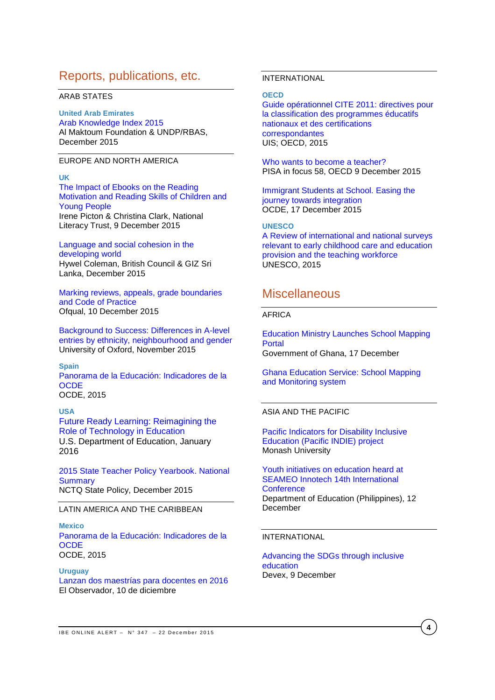# Reports, publications, etc.

## ARAB STATES

## **United Arab Emirates**

[Arab Knowledge Index 2015](http://www.knowledge4all.com/uploads/files/AKI2015/PDFEn/AKI2015_Full_En.pdf) Al Maktoum Foundation & UNDP/RBAS, December 2015

### EUROPE AND NORTH AMERICA

## **UK**

[The Impact of Ebooks on the Reading](http://www.literacytrust.org.uk/assets/0002/9076/The_Impact_of_Ebooks_final_report.pdf)  [Motivation and Reading Skills of Children and](http://www.literacytrust.org.uk/assets/0002/9076/The_Impact_of_Ebooks_final_report.pdf)  [Young People](http://www.literacytrust.org.uk/assets/0002/9076/The_Impact_of_Ebooks_final_report.pdf) Irene Picton & Christina Clark, National Literacy Trust, 9 December 2015

### [Language and social cohesion in the](http://www.teachingenglish.org.uk/sites/teacheng/files/language%20and%20social%20cohesion.pdf)  [developing world](http://www.teachingenglish.org.uk/sites/teacheng/files/language%20and%20social%20cohesion.pdf) Hywel Coleman, British Council & GIZ Sri Lanka, December 2015

[Marking reviews, appeals, grade boundaries](https://www.gov.uk/government/consultations/marking-reviews-appeals-grade-boundaries-and-code-of-practice)  [and Code of Practice](https://www.gov.uk/government/consultations/marking-reviews-appeals-grade-boundaries-and-code-of-practice) Ofqual, 10 December 2015

[Background to Success: Differences in A-level](http://www.suttontrust.com/wp-content/uploads/2015/11/Background-to-Success-Final.pdf)  [entries by ethnicity, neighbourhood and gender](http://www.suttontrust.com/wp-content/uploads/2015/11/Background-to-Success-Final.pdf) University of Oxford, November 2015

**Spain** [Panorama de la Educación: Indicadores de la](http://www.oecd.org/spain/Education-at-a-glance-2015-Spain-in-Spanish.pdf)  **[OCDE](http://www.oecd.org/spain/Education-at-a-glance-2015-Spain-in-Spanish.pdf)** OCDE, 2015

## **USA** Future Ready Learning: [Reimagining](http://tech.ed.gov/files/2015/12/NETP16.pdf) the Role of [Technology](http://tech.ed.gov/files/2015/12/NETP16.pdf) in Education U.S. Department of Education, January 2016

[2015 State Teacher Policy Yearbook. National](http://www.nctq.org/dmsView/2015_State_Teacher_Policy_Yearbook_National_Summary_NCTQ_Report)  **[Summary](http://www.nctq.org/dmsView/2015_State_Teacher_Policy_Yearbook_National_Summary_NCTQ_Report)** NCTQ State Policy, December 2015

## LATIN AMERICA AND THE CARIBBEAN

### **Mexico**

[Panorama de la Educación: Indicadores de la](http://www.oecd.org/mexico/Education-at-a-glance-2015-Mexico-in-Spanish.pdf)  **[OCDE](http://www.oecd.org/mexico/Education-at-a-glance-2015-Mexico-in-Spanish.pdf)** OCDE, 2015

#### **Uruguay**

[Lanzan dos maestrías para docentes en 2016](http://www.elobservador.com.uy/lanzan-dos-maestrias-docentes-2016-n704919) El Observador, 10 de diciembre

## INTERNATIONAL

#### **OECD**

[Guide opérationnel CITE 2011: directives pour](http://unesdoc.unesco.org/images/0024/002429/242957f.pdf)  [la classification des programmes éducatifs](http://unesdoc.unesco.org/images/0024/002429/242957f.pdf)  [nationaux et des certifications](http://unesdoc.unesco.org/images/0024/002429/242957f.pdf)  [correspondantes](http://unesdoc.unesco.org/images/0024/002429/242957f.pdf) UIS; OECD, 2015

[Who wants to become a teacher?](http://www.oecd-ilibrary.org/docserver/download/5jrp3qdk2fzp.pdf?expires=1450438088&id=id&accname=guest&checksum=26545392A702B6EDDC3C2FDA6DA9F47B) PISA in focus 58, OECD 9 December 2015

[Immigrant Students at School. Easing the](http://www.oecd-ilibrary.org/docserver/download/9115111e.pdf?expires=1450345229&id=id&accname=ocid195767&checksum=E178CBEB45DCFEBA0637470AEC2D7DC3)  [journey towards integration](http://www.oecd-ilibrary.org/docserver/download/9115111e.pdf?expires=1450345229&id=id&accname=ocid195767&checksum=E178CBEB45DCFEBA0637470AEC2D7DC3) OCDE, 17 December 2015

### **UNESCO**

[A Review of international and national surveys](http://unesdoc.unesco.org/images/0024/002430/243095e.pdf)  [relevant to early childhood care and education](http://unesdoc.unesco.org/images/0024/002430/243095e.pdf)  [provision and the teaching workforce](http://unesdoc.unesco.org/images/0024/002430/243095e.pdf) UNESCO, 2015

# **Miscellaneous**

## AFRICA

[Education Ministry Launches School Mapping](http://allafrica.com/stories/201512181236.html)  [Portal](http://allafrica.com/stories/201512181236.html) Government of Ghana, 17 December

[Ghana Education Service: School Mapping](http://www.ghanaschoolsinfo.org/)  [and Monitoring system](http://www.ghanaschoolsinfo.org/)

### ASIA AND THE PACIFIC

[Pacific Indicators for Disability Inclusive](http://monash.edu/education/research/projects/pacific-indie/)  [Education \(Pacific INDIE\) project](http://monash.edu/education/research/projects/pacific-indie/) Monash University

[Youth initiatives on education heard at](http://www.deped.gov.ph/press-releases/youth-initiatives-education-heard-seameo-innotech-14th-international-conference)  [SEAMEO Innotech 14th International](http://www.deped.gov.ph/press-releases/youth-initiatives-education-heard-seameo-innotech-14th-international-conference)  **[Conference](http://www.deped.gov.ph/press-releases/youth-initiatives-education-heard-seameo-innotech-14th-international-conference)** Department of Education (Philippines), 12 December

### INTERNATIONAL

### [Advancing the SDGs through inclusive](https://www.devex.com/news/advancing-the-sdgs-through-inclusive-education-87436)  [education](https://www.devex.com/news/advancing-the-sdgs-through-inclusive-education-87436) Devex, 9 December

**4**